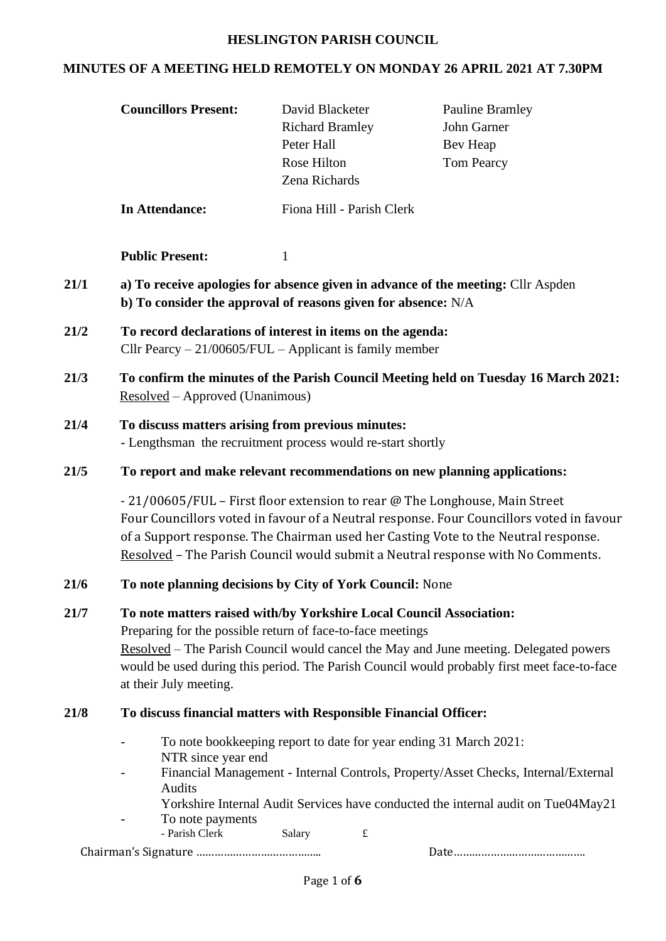## **HESLINGTON PARISH COUNCIL**

# **MINUTES OF A MEETING HELD REMOTELY ON MONDAY 26 APRIL 2021 AT 7.30PM**

|      | <b>Councillors Present:</b>                                                                                                                                                                                                                                                                                                                                                                                                   | David Blacketer<br><b>Richard Bramley</b><br>Peter Hall<br>Rose Hilton<br>Zena Richards | <b>Pauline Bramley</b><br>John Garner<br>Bev Heap<br><b>Tom Pearcy</b> |
|------|-------------------------------------------------------------------------------------------------------------------------------------------------------------------------------------------------------------------------------------------------------------------------------------------------------------------------------------------------------------------------------------------------------------------------------|-----------------------------------------------------------------------------------------|------------------------------------------------------------------------|
|      | <b>In Attendance:</b>                                                                                                                                                                                                                                                                                                                                                                                                         | Fiona Hill - Parish Clerk                                                               |                                                                        |
|      | <b>Public Present:</b>                                                                                                                                                                                                                                                                                                                                                                                                        | 1                                                                                       |                                                                        |
| 21/1 | a) To receive apologies for absence given in advance of the meeting: Cllr Aspden<br>b) To consider the approval of reasons given for absence: N/A                                                                                                                                                                                                                                                                             |                                                                                         |                                                                        |
| 21/2 | To record declarations of interest in items on the agenda:<br>Cllr Pearcy $-21/00605/FUL$ - Applicant is family member                                                                                                                                                                                                                                                                                                        |                                                                                         |                                                                        |
| 21/3 | To confirm the minutes of the Parish Council Meeting held on Tuesday 16 March 2021:<br>Resolved – Approved (Unanimous)                                                                                                                                                                                                                                                                                                        |                                                                                         |                                                                        |
| 21/4 | To discuss matters arising from previous minutes:<br>- Lengthsman the recruitment process would re-start shortly                                                                                                                                                                                                                                                                                                              |                                                                                         |                                                                        |
| 21/5 | To report and make relevant recommendations on new planning applications:<br>- 21/00605/FUL - First floor extension to rear @ The Longhouse, Main Street<br>Four Councillors voted in favour of a Neutral response. Four Councillors voted in favour<br>of a Support response. The Chairman used her Casting Vote to the Neutral response.<br>Resolved - The Parish Council would submit a Neutral response with No Comments. |                                                                                         |                                                                        |
|      |                                                                                                                                                                                                                                                                                                                                                                                                                               |                                                                                         |                                                                        |
| 21/6 | To note planning decisions by City of York Council: None                                                                                                                                                                                                                                                                                                                                                                      |                                                                                         |                                                                        |
| 21/7 | To note matters raised with/by Yorkshire Local Council Association:<br>Preparing for the possible return of face-to-face meetings<br><u>Resolved</u> – The Parish Council would cancel the May and June meeting. Delegated powers<br>would be used during this period. The Parish Council would probably first meet face-to-face<br>at their July meeting.                                                                    |                                                                                         |                                                                        |
| 21/8 | To discuss financial matters with Responsible Financial Officer:                                                                                                                                                                                                                                                                                                                                                              |                                                                                         |                                                                        |
|      | To note bookkeeping report to date for year ending 31 March 2021:<br>$\overline{\phantom{a}}$<br>NTR since year end<br>Financial Management - Internal Controls, Property/Asset Checks, Internal/External<br>$\overline{\phantom{a}}$<br>Audits<br>Yorkshire Internal Audit Services have conducted the internal audit on Tue04May21<br>To note payments<br>- Parish Clerk<br>Salary<br>$\pounds$                             |                                                                                         |                                                                        |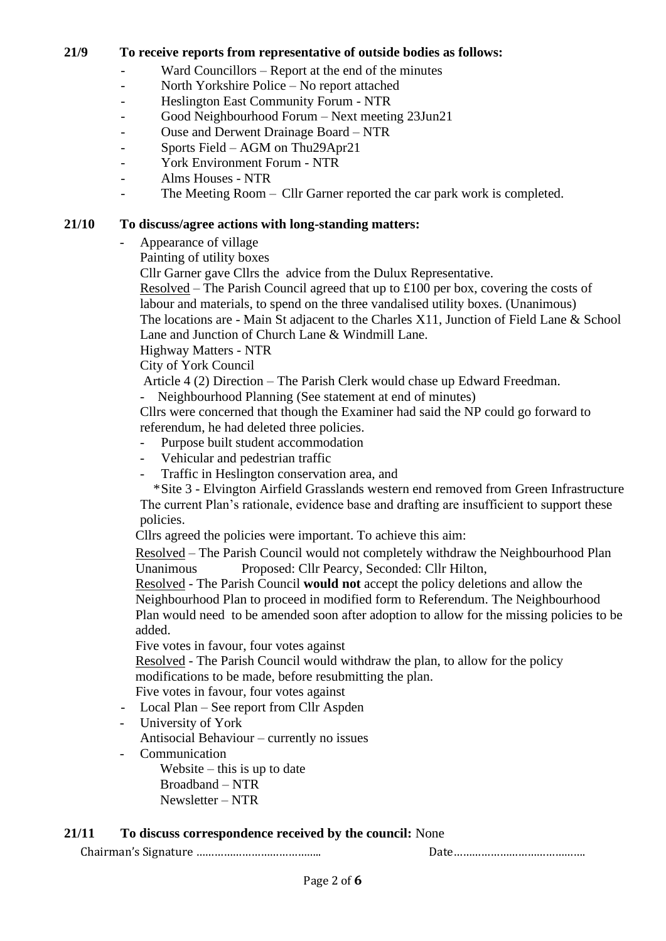## **21/9 To receive reports from representative of outside bodies as follows:**

- Ward Councillors Report at the end of the minutes
- North Yorkshire Police No report attached
- Heslington East Community Forum NTR
- Good Neighbourhood Forum Next meeting 23Jun21
- Ouse and Derwent Drainage Board NTR
- Sports Field AGM on Thu29Apr21
- York Environment Forum NTR
- Alms Houses NTR
- The Meeting Room Cllr Garner reported the car park work is completed.

## **21/10 To discuss/agree actions with long-standing matters:**

- Appearance of village
	- Painting of utility boxes
	- Cllr Garner gave Cllrs the advice from the Dulux Representative.

Resolved – The Parish Council agreed that up to £100 per box, covering the costs of labour and materials, to spend on the three vandalised utility boxes. (Unanimous) The locations are - Main St adjacent to the Charles X11, Junction of Field Lane & School

Lane and Junction of Church Lane & Windmill Lane.

Highway Matters - NTR

City of York Council

Article 4 (2) Direction – The Parish Clerk would chase up Edward Freedman.

- Neighbourhood Planning (See statement at end of minutes)

Cllrs were concerned that though the Examiner had said the NP could go forward to referendum, he had deleted three policies.

- Purpose built student accommodation
- Vehicular and pedestrian traffic
- Traffic in Heslington conservation area, and

 \*Site 3 - Elvington Airfield Grasslands western end removed from Green Infrastructure The current Plan's rationale, evidence base and drafting are insufficient to support these policies.

Cllrs agreed the policies were important. To achieve this aim:

Resolved – The Parish Council would not completely withdraw the Neighbourhood Plan Unanimous Proposed: Cllr Pearcy, Seconded: Cllr Hilton,

Resolved - The Parish Council **would not** accept the policy deletions and allow the Neighbourhood Plan to proceed in modified form to Referendum. The Neighbourhood Plan would need to be amended soon after adoption to allow for the missing policies to be added.

Five votes in favour, four votes against

Resolved - The Parish Council would withdraw the plan, to allow for the policy modifications to be made, before resubmitting the plan.

Five votes in favour, four votes against

- Local Plan See report from Cllr Aspden
- University of York

Antisocial Behaviour – currently no issues

- Communication

Website – this is up to date Broadband – NTR Newsletter – NTR

## **21/11 To discuss correspondence received by the council:** None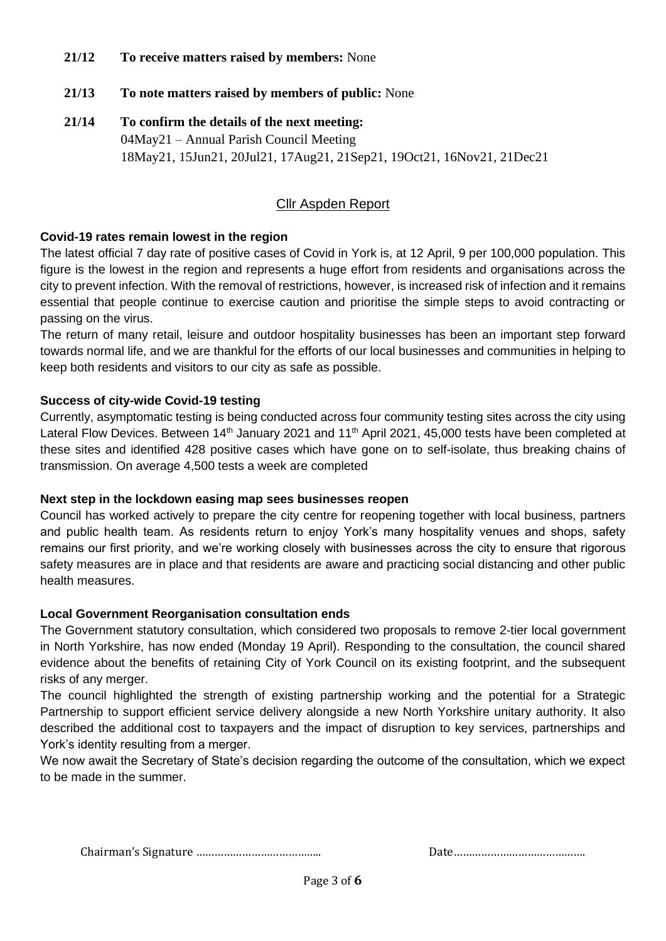## **21/12 To receive matters raised by members:** None

- **21/13 To note matters raised by members of public:** None
- **21/14 To confirm the details of the next meeting:**  04May21 – Annual Parish Council Meeting 18May21, 15Jun21, 20Jul21, 17Aug21, 21Sep21, 19Oct21, 16Nov21, 21Dec21

## Cllr Aspden Report

### **Covid-19 rates remain lowest in the region**

The latest official 7 day rate of positive cases of Covid in York is, at 12 April, 9 per 100,000 population. This figure is the lowest in the region and represents a huge effort from residents and organisations across the city to prevent infection. With the removal of restrictions, however, is increased risk of infection and it remains essential that people continue to exercise caution and prioritise the simple steps to avoid contracting or passing on the virus.

The return of many retail, leisure and outdoor hospitality businesses has been an important step forward towards normal life, and we are thankful for the efforts of our local businesses and communities in helping to keep both residents and visitors to our city as safe as possible.

#### **Success of city-wide Covid-19 testing**

Currently, asymptomatic testing is being conducted across four community testing sites across the city using Lateral Flow Devices. Between 14<sup>th</sup> January 2021 and 11<sup>th</sup> April 2021, 45,000 tests have been completed at these sites and identified 428 positive cases which have gone on to self-isolate, thus breaking chains of transmission. On average 4,500 tests a week are completed

#### **Next step in the lockdown easing map sees businesses reopen**

Council has worked actively to prepare the city centre for reopening together with local business, partners and public health team. As residents return to enjoy York's many hospitality venues and shops, safety remains our first priority, and we're working closely with businesses across the city to ensure that rigorous safety measures are in place and that residents are aware and practicing social distancing and other public health measures.

#### **Local Government Reorganisation consultation ends**

The Government statutory consultation, which considered two proposals to remove 2-tier local government in North Yorkshire, has now ended (Monday 19 April). Responding to the consultation, the council shared evidence about the benefits of retaining City of York Council on its existing footprint, and the subsequent risks of any merger.

The council highlighted the strength of existing partnership working and the potential for a Strategic Partnership to support efficient service delivery alongside a new North Yorkshire unitary authority. It also described the additional cost to taxpayers and the impact of disruption to key services, partnerships and York's identity resulting from a merger.

We now await the Secretary of State's decision regarding the outcome of the consultation, which we expect to be made in the summer.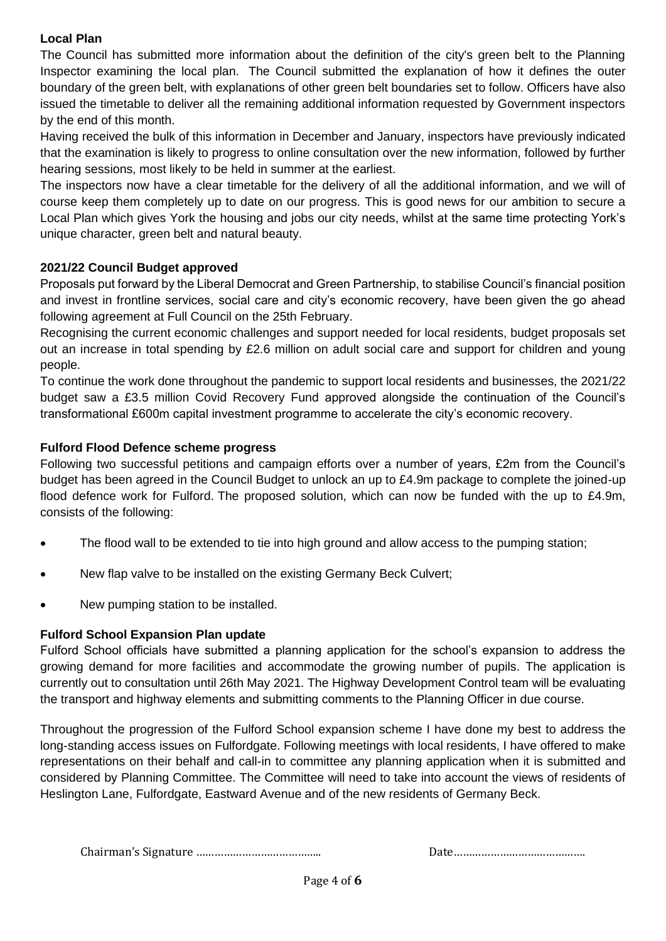# **Local Plan**

The Council has submitted more information about the definition of the city's green belt to the Planning Inspector examining the local plan. The Council submitted the explanation of how it defines the outer boundary of the green belt, with explanations of other green belt boundaries set to follow. Officers have also issued the timetable to deliver all the remaining additional information requested by Government inspectors by the end of this month.

Having received the bulk of this information in December and January, inspectors have previously indicated that the examination is likely to progress to online consultation over the new information, followed by further hearing sessions, most likely to be held in summer at the earliest.

The inspectors now have a clear timetable for the delivery of all the additional information, and we will of course keep them completely up to date on our progress. This is good news for our ambition to secure a Local Plan which gives York the housing and jobs our city needs, whilst at the same time protecting York's unique character, green belt and natural beauty.

## **2021/22 Council Budget approved**

Proposals put forward by the Liberal Democrat and Green Partnership, to stabilise Council's financial position and invest in frontline services, social care and city's economic recovery, have been given the go ahead following agreement at Full Council on the 25th February.

Recognising the current economic challenges and support needed for local residents, budget proposals set out an increase in total spending by £2.6 million on adult social care and support for children and young people.

To continue the work done throughout the pandemic to support local residents and businesses, the 2021/22 budget saw a £3.5 million Covid Recovery Fund approved alongside the continuation of the Council's transformational £600m capital investment programme to accelerate the city's economic recovery.

## **Fulford Flood Defence scheme progress**

Following two successful petitions and campaign efforts over a number of years, £2m from the Council's budget has been agreed in the Council Budget to unlock an up to £4.9m package to complete the joined-up flood defence work for Fulford. The proposed solution, which can now be funded with the up to £4.9m, consists of the following:

- The flood wall to be extended to tie into high ground and allow access to the pumping station;
- New flap valve to be installed on the existing Germany Beck Culvert;
- New pumping station to be installed.

## **Fulford School Expansion Plan update**

Fulford School officials have submitted a planning application for the school's expansion to address the growing demand for more facilities and accommodate the growing number of pupils. The application is currently out to consultation until 26th May 2021. The Highway Development Control team will be evaluating the transport and highway elements and submitting comments to the Planning Officer in due course.

Throughout the progression of the Fulford School expansion scheme I have done my best to address the long-standing access issues on Fulfordgate. Following meetings with local residents, I have offered to make representations on their behalf and call-in to committee any planning application when it is submitted and considered by Planning Committee. The Committee will need to take into account the views of residents of Heslington Lane, Fulfordgate, Eastward Avenue and of the new residents of Germany Beck.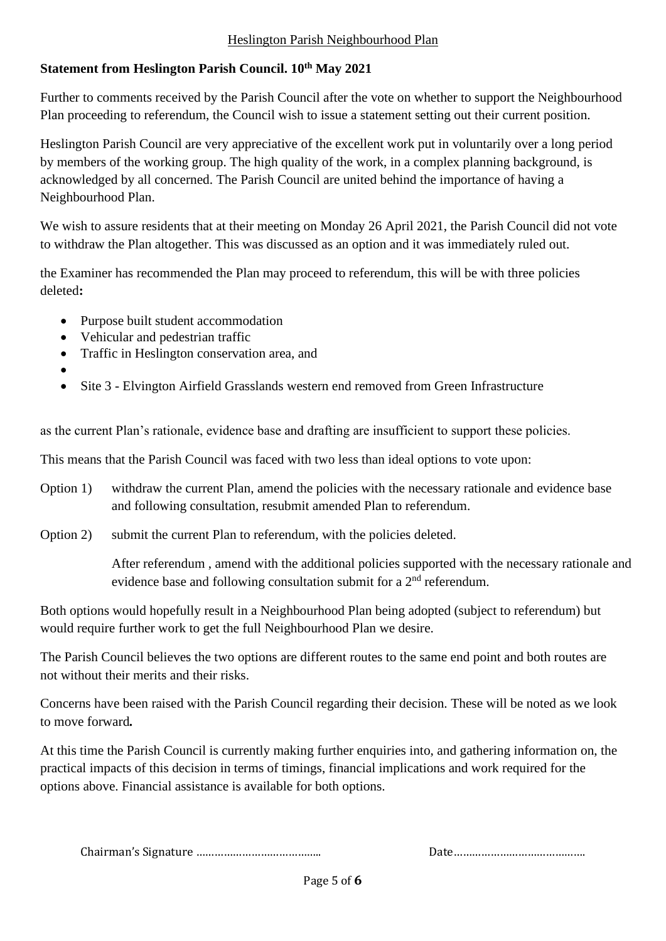## Heslington Parish Neighbourhood Plan

# **Statement from Heslington Parish Council. 10th May 2021**

Further to comments received by the Parish Council after the vote on whether to support the Neighbourhood Plan proceeding to referendum, the Council wish to issue a statement setting out their current position.

Heslington Parish Council are very appreciative of the excellent work put in voluntarily over a long period by members of the working group. The high quality of the work, in a complex planning background, is acknowledged by all concerned. The Parish Council are united behind the importance of having a Neighbourhood Plan.

We wish to assure residents that at their meeting on Monday 26 April 2021, the Parish Council did not vote to withdraw the Plan altogether. This was discussed as an option and it was immediately ruled out.

the Examiner has recommended the Plan may proceed to referendum, this will be with three policies deleted**:**

- Purpose built student accommodation
- Vehicular and pedestrian traffic
- Traffic in Heslington conservation area, and
- •
- Site 3 Elvington Airfield Grasslands western end removed from Green Infrastructure

as the current Plan's rationale, evidence base and drafting are insufficient to support these policies.

This means that the Parish Council was faced with two less than ideal options to vote upon:

- Option 1) withdraw the current Plan, amend the policies with the necessary rationale and evidence base and following consultation, resubmit amended Plan to referendum.
- Option 2) submit the current Plan to referendum, with the policies deleted.

After referendum , amend with the additional policies supported with the necessary rationale and evidence base and following consultation submit for a 2<sup>nd</sup> referendum.

Both options would hopefully result in a Neighbourhood Plan being adopted (subject to referendum) but would require further work to get the full Neighbourhood Plan we desire.

The Parish Council believes the two options are different routes to the same end point and both routes are not without their merits and their risks.

Concerns have been raised with the Parish Council regarding their decision. These will be noted as we look to move forward*.*

At this time the Parish Council is currently making further enquiries into, and gathering information on, the practical impacts of this decision in terms of timings, financial implications and work required for the options above. Financial assistance is available for both options.